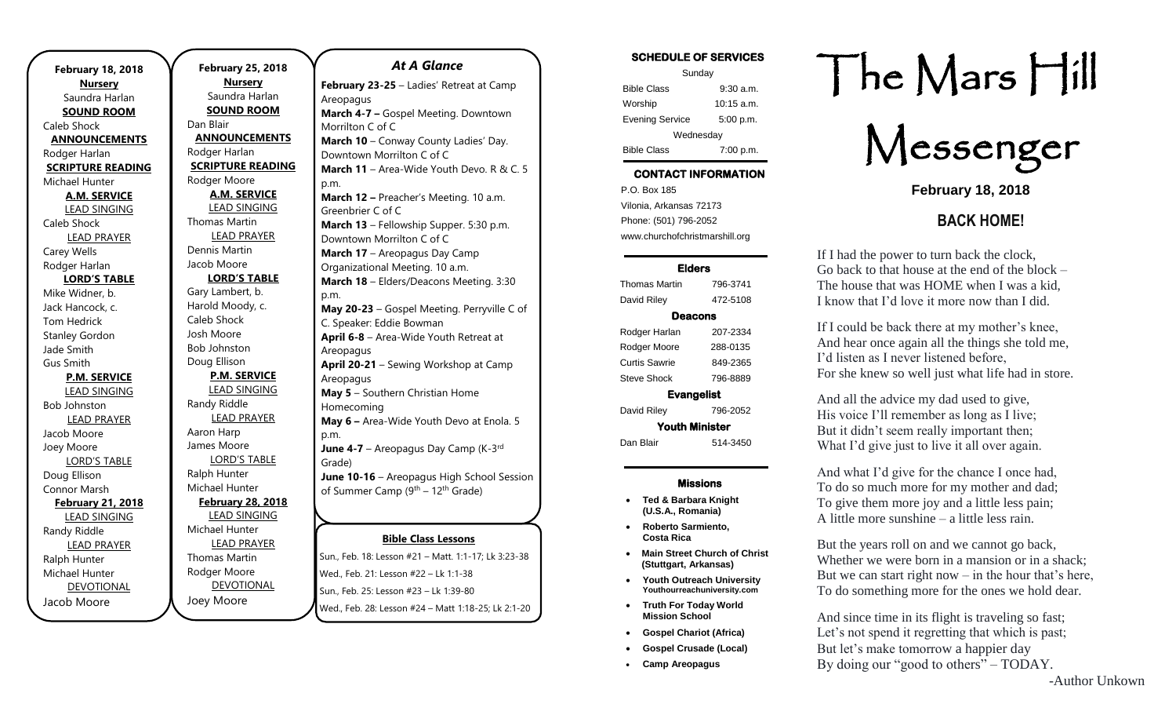| <b>February 18, 2018</b> | February 2          |
|--------------------------|---------------------|
| <b>Nursery</b>           | <b>Nurse</b>        |
| Saundra Harlan           | Saundra             |
| <b>SOUND ROOM</b>        | <b>SOUND</b>        |
| Caleb Shock              | Dan Blair           |
| <b>ANNOUNCEMENTS</b>     | <b>ANNOUNC</b>      |
| Rodger Harlan            | Rodger Harla        |
| <b>SCRIPTURE READING</b> | <b>SCRIPTURE</b>    |
| Michael Hunter           | Rodger Moor         |
| <b>A.M. SERVICE</b>      | A.M. SEI            |
| <b>LEAD SINGING</b>      | <b>LEAD SIN</b>     |
| Caleb Shock              | <b>Thomas Mart</b>  |
| <b>LEAD PRAYER</b>       | <b>LEAD PR</b>      |
| Carey Wells              | Dennis Martir       |
| Rodger Harlan            | Jacob Moore         |
| <b>LORD'S TABLE</b>      | LORD'S              |
| Mike Widner, b.          | Gary Lambert        |
| Jack Hancock, c.         | Harold Mood         |
| <b>Tom Hedrick</b>       | Caleb Shock         |
| <b>Stanley Gordon</b>    | Josh Moore          |
| Jade Smith               | <b>Bob Johnston</b> |
| <b>Gus Smith</b>         | Doug Ellison        |
| <b>P.M. SERVICE</b>      | P.M. SEI            |
| <b>LEAD SINGING</b>      | <b>LEAD SIN</b>     |
| <b>Bob Johnston</b>      | Randy Riddle        |
| <b>LEAD PRAYER</b>       | <b>LEAD PR</b>      |
| Jacob Moore              | Aaron Harp          |
| Joey Moore               | James Moore         |
| <b>LORD'S TABLE</b>      | LORD'S              |
| Doug Ellison             | Ralph Hunter        |
| Connor Marsh             | Michael Hunt        |
| February 21, 2018        | <u>February 2</u>   |
| <b>LEAD SINGING</b>      | <b>LEAD SIN</b>     |
| Randy Riddle             | Michael Hunt        |
| <b>LEAD PRAYER</b>       | <b>LEAD PR</b>      |
| Ralph Hunter             | <b>Thomas Mart</b>  |
| Michael Hunter           | Rodger Moor         |
| <b>DEVOTIONAL</b>        | <b>DEVOTI</b>       |
| Jacob Moore              | Joey Moore          |
|                          |                     |

.

**February 25, 2018 Nursery** Saundra Harlan **SOUND ROOM** Dan Blair **ANNOUNCEMENTS** Rodger Harlan **SCRIPTURE READING** Rodger Moore **A.M. SERVICE** LEAD SINGING Thomas Martin LEAD PRAYER Dennis Martin Jacob Moore **LORD'S TABLE** Gary Lambert, b. Harold Moody, c. Caleb Shock Josh Moore Bob Johnston Doug Ellison **P.M. SERVICE** LEAD SINGING Randy Riddle LEAD PRAYER Aaron Harp James Moore LORD'S TABLE Ralph Hunter Michael Hunter **February 28, 2018** LEAD SINGING Michael Hunter LEAD PRAYER Thomas Martin Rodger Moore DEVOTIONAL

#### **Bible Class Lessons** Sun., Feb. 18: Lesson #21 – Matt. 1:1-17; Lk 3:23-38 *At A Glance*  **February 23-25** – Ladies' Retreat at Camp Areopagus **March 4-7 –** Gospel Meeting. Downtown Morrilton C of C **March 10** – Conway County Ladies' Day. Downtown Morrilton C of C **March 11** – Area-Wide Youth Devo. R & C. 5 p.m. **March 12 –** Preacher's Meeting. 10 a.m. Greenbrier C of C **March 13** – Fellowship Supper. 5:30 p.m. Downtown Morrilton C of C **March 17** – Areopagus Day Camp Organizational Meeting. 10 a.m. **March 18** – Elders/Deacons Meeting. 3:30 p.m. **May 20-23** – Gospel Meeting. Perryville C of C. Speaker: Eddie Bowman **April 6-8** – Area-Wide Youth Retreat at Areopagus **April 20-21** – Sewing Workshop at Camp Areopagus **May 5** – Southern Christian Home Homecoming **May 6 –** Area-Wide Youth Devo at Enola. 5 p.m. June 4-7 - Areopagus Day Camp (K-3<sup>rd</sup> Grade) **June 10-16** – Areopagus High School Session of Summer Camp (9<sup>th</sup> – 12<sup>th</sup> Grade) <u>DINIC CIUSS LESS</u>  $\overline{ }$ th Grade

Wed., Feb. 21: Lesson #22 – Lk 1:1-38 Sun., Feb. 25: Lesson #23 – Lk 1:39-80 wed., Feb. 28: Lesson #24 – Matt 1:18-25; Lk 2:1-20 **July 8-13, 2018 –** Gospel Gathering

#### SCHEDULE OF SERVICES Sunday Bible Class 9:30 a.m. Worship 10:15 a.m. Evening Service 5:00 p.m. **Wednesdav** Bible Class 7:00 p.m.

### CONTACT INFORMATION

. .o. Box 166<br>Vilonia, Arkansas 72173 P.O. Box 185 Phone: (501) 796-2052 www.churchofchristmarshill.org

#### Elders

Thomas Martin 796-3741 David Riley 472-5108 Deacons Rodger Harlan 207-2334 Rodger Moore 288-0135 Curtis Sawrie 849-2365 Steve Shock 796-8889 Evangelist David Riley 796-2052 Youth Minister Dan Blair 514-3450

#### Missions

- **Ted & Barbara Knight (U.S.A., Romania)**
- **Roberto Sarmiento, Costa Rica**
- **Main Street Church of Christ (Stuttgart, Arkansas)**
- **Youth Outreach University Youthourreachuniversity.com**
- **Truth For Today World Mission School**
- **Gospel Chariot (Africa)**
- **Gospel Crusade (Local)**
- **Camp Areopagus**

# The Mars Hill



**February 18, 2018**

## **BACK HOME!**

If I had the power to turn back the clock, Go back to that house at the end of the block – The house that was HOME when I was a kid, I know that I'd love it more now than I did.

If I could be back there at my mother's knee, And hear once again all the things she told me, I'd listen as I never listened before, For she knew so well just what life had in store.

And all the advice my dad used to give, His voice I'll remember as long as I live; But it didn't seem really important then; What I'd give just to live it all over again.

And what I'd give for the chance I once had, To do so much more for my mother and dad; To give them more joy and a little less pain; A little more sunshine – a little less rain.

But the years roll on and we cannot go back, Whether we were born in a mansion or in a shack; But we can start right now  $-$  in the hour that's here, To do something more for the ones we hold dear.

And since time in its flight is traveling so fast; Let's not spend it regretting that which is past; But let's make tomorrow a happier day By doing our "good to others" – TODAY.